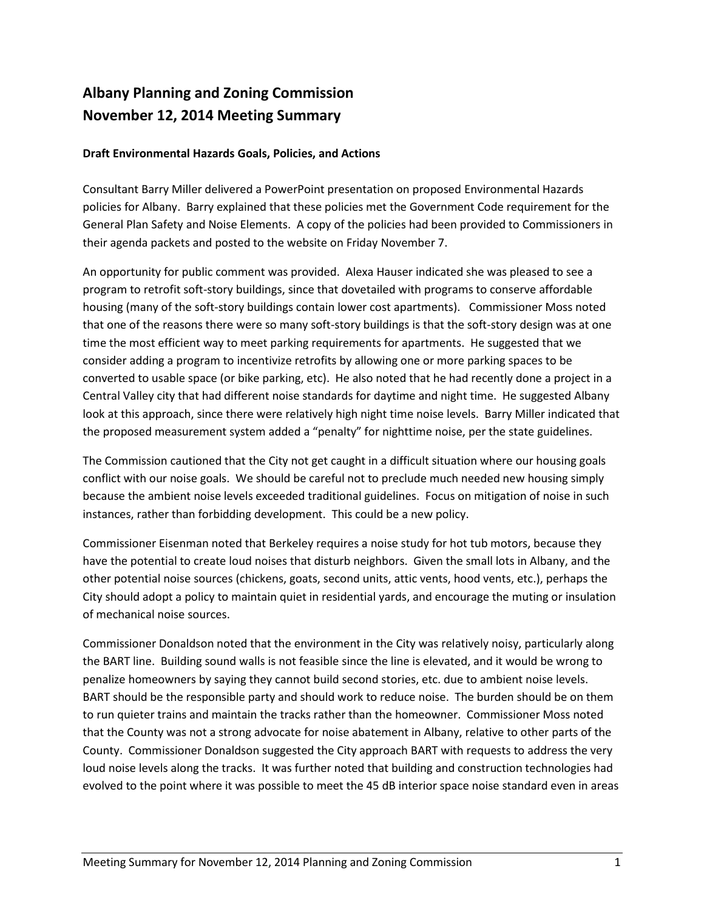## **Albany Planning and Zoning Commission November 12, 2014 Meeting Summary**

## **Draft Environmental Hazards Goals, Policies, and Actions**

Consultant Barry Miller delivered a PowerPoint presentation on proposed Environmental Hazards policies for Albany. Barry explained that these policies met the Government Code requirement for the General Plan Safety and Noise Elements. A copy of the policies had been provided to Commissioners in their agenda packets and posted to the website on Friday November 7.

An opportunity for public comment was provided. Alexa Hauser indicated she was pleased to see a program to retrofit soft-story buildings, since that dovetailed with programs to conserve affordable housing (many of the soft-story buildings contain lower cost apartments). Commissioner Moss noted that one of the reasons there were so many soft-story buildings is that the soft-story design was at one time the most efficient way to meet parking requirements for apartments. He suggested that we consider adding a program to incentivize retrofits by allowing one or more parking spaces to be converted to usable space (or bike parking, etc). He also noted that he had recently done a project in a Central Valley city that had different noise standards for daytime and night time. He suggested Albany look at this approach, since there were relatively high night time noise levels. Barry Miller indicated that the proposed measurement system added a "penalty" for nighttime noise, per the state guidelines.

The Commission cautioned that the City not get caught in a difficult situation where our housing goals conflict with our noise goals. We should be careful not to preclude much needed new housing simply because the ambient noise levels exceeded traditional guidelines. Focus on mitigation of noise in such instances, rather than forbidding development. This could be a new policy.

Commissioner Eisenman noted that Berkeley requires a noise study for hot tub motors, because they have the potential to create loud noises that disturb neighbors. Given the small lots in Albany, and the other potential noise sources (chickens, goats, second units, attic vents, hood vents, etc.), perhaps the City should adopt a policy to maintain quiet in residential yards, and encourage the muting or insulation of mechanical noise sources.

Commissioner Donaldson noted that the environment in the City was relatively noisy, particularly along the BART line. Building sound walls is not feasible since the line is elevated, and it would be wrong to penalize homeowners by saying they cannot build second stories, etc. due to ambient noise levels. BART should be the responsible party and should work to reduce noise. The burden should be on them to run quieter trains and maintain the tracks rather than the homeowner. Commissioner Moss noted that the County was not a strong advocate for noise abatement in Albany, relative to other parts of the County. Commissioner Donaldson suggested the City approach BART with requests to address the very loud noise levels along the tracks. It was further noted that building and construction technologies had evolved to the point where it was possible to meet the 45 dB interior space noise standard even in areas